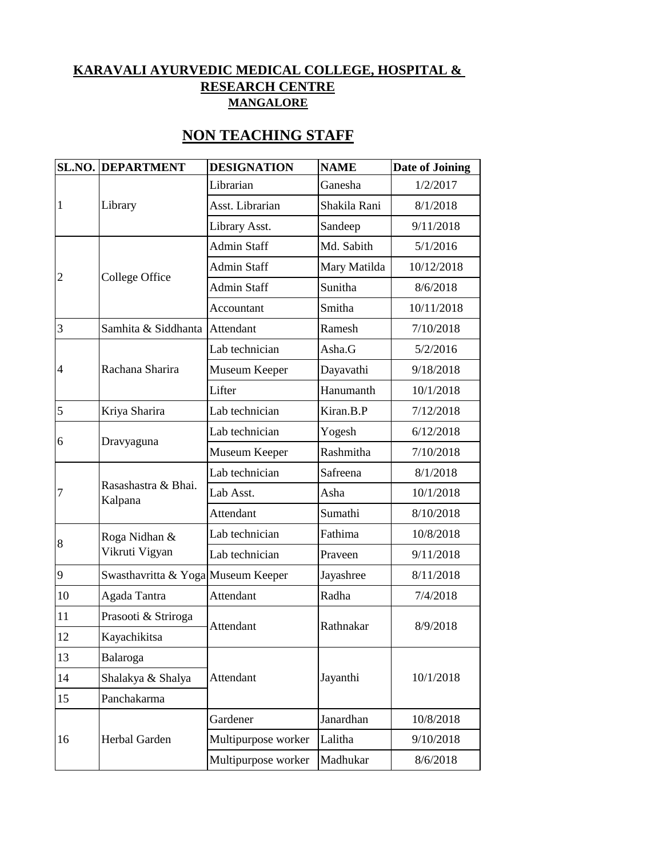## **KARAVALI AYURVEDIC MEDICAL COLLEGE, HOSPITAL & RESEARCH CENTRE MANGALORE**

|                | <b>SL.NO. DEPARTMENT</b>           | <b>DESIGNATION</b>  | <b>NAME</b>  | <b>Date of Joining</b> |
|----------------|------------------------------------|---------------------|--------------|------------------------|
|                |                                    | Librarian           | Ganesha      | 1/2/2017               |
| 1              | Library                            | Asst. Librarian     | Shakila Rani | 8/1/2018               |
|                |                                    | Library Asst.       | Sandeep      | 9/11/2018              |
|                | College Office                     | <b>Admin Staff</b>  | Md. Sabith   | 5/1/2016               |
|                |                                    | <b>Admin Staff</b>  | Mary Matilda | 10/12/2018             |
| $\overline{2}$ |                                    | <b>Admin Staff</b>  | Sunitha      | 8/6/2018               |
|                |                                    | Accountant          | Smitha       | 10/11/2018             |
| 3              | Samhita & Siddhanta Attendant      |                     | Ramesh       | 7/10/2018              |
|                |                                    | Lab technician      | Asha.G       | 5/2/2016               |
| 4              | Rachana Sharira                    | Museum Keeper       | Dayavathi    | 9/18/2018              |
|                |                                    | Lifter              | Hanumanth    | 10/1/2018              |
| 5              | Kriya Sharira                      | Lab technician      | Kiran.B.P    | 7/12/2018              |
|                |                                    | Lab technician      | Yogesh       | 6/12/2018              |
| 6              | Dravyaguna                         | Museum Keeper       | Rashmitha    | 7/10/2018              |
|                |                                    | Lab technician      | Safreena     | 8/1/2018               |
| 7              | Rasashastra & Bhai.<br>Kalpana     | Lab Asst.           | Asha         | 10/1/2018              |
|                |                                    | Attendant           | Sumathi      | 8/10/2018              |
|                | Roga Nidhan &                      | Lab technician      | Fathima      | 10/8/2018              |
| 8              | Vikruti Vigyan                     | Lab technician      | Praveen      | 9/11/2018              |
| 9              | Swasthavritta & Yoga Museum Keeper |                     | Jayashree    | 8/11/2018              |
| 10             | Agada Tantra                       | Attendant           | Radha        | 7/4/2018               |
| 11             | Prasooti & Striroga                |                     |              |                        |
| 12             | Kayachikitsa                       | Attendant           | Rathnakar    | 8/9/2018               |
| 13             | Balaroga                           |                     |              |                        |
| 14             | Shalakya & Shalya                  | Attendant           | Jayanthi     | 10/1/2018              |
| 15             | Panchakarma                        |                     |              |                        |
|                | Herbal Garden                      | Gardener            | Janardhan    | 10/8/2018              |
| 16             |                                    | Multipurpose worker | Lalitha      | 9/10/2018              |
|                |                                    | Multipurpose worker | Madhukar     | 8/6/2018               |

## **NON TEACHING STAFF**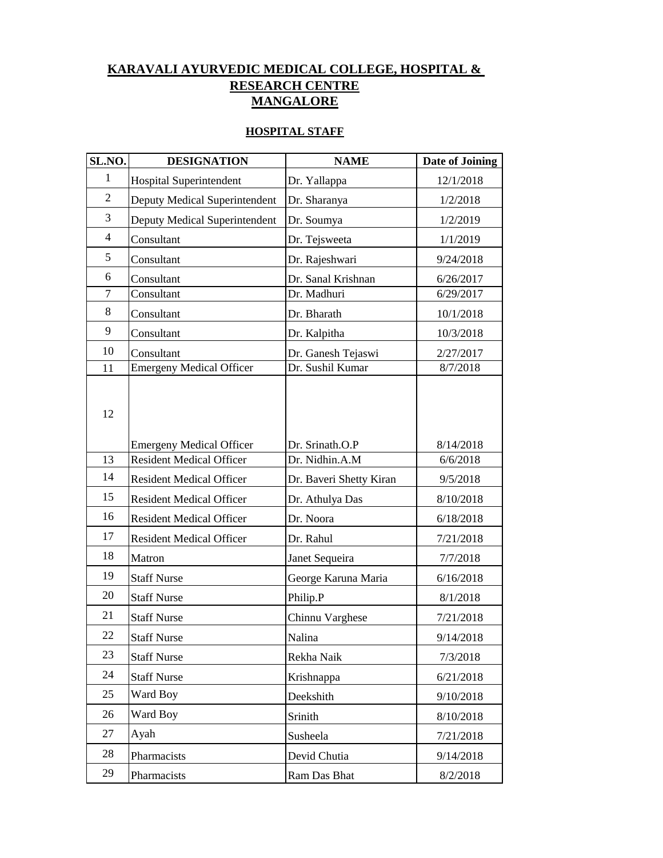## **MANGALORE KARAVALI AYURVEDIC MEDICAL COLLEGE, HOSPITAL & RESEARCH CENTRE**

## **HOSPITAL STAFF**

| SL.NO.         | <b>DESIGNATION</b>              | <b>NAME</b>             | Date of Joining |
|----------------|---------------------------------|-------------------------|-----------------|
| $\mathbf{1}$   | Hospital Superintendent         | Dr. Yallappa            | 12/1/2018       |
| $\overline{c}$ | Deputy Medical Superintendent   | Dr. Sharanya            | 1/2/2018        |
| 3              | Deputy Medical Superintendent   | Dr. Soumya              | 1/2/2019        |
| $\overline{4}$ | Consultant                      | Dr. Tejsweeta           | 1/1/2019        |
| 5              | Consultant                      | Dr. Rajeshwari          | 9/24/2018       |
| 6              | Consultant                      | Dr. Sanal Krishnan      | 6/26/2017       |
| $\overline{7}$ | Consultant                      | Dr. Madhuri             | 6/29/2017       |
| 8              | Consultant                      | Dr. Bharath             | 10/1/2018       |
| 9              | Consultant                      | Dr. Kalpitha            | 10/3/2018       |
| 10             | Consultant                      | Dr. Ganesh Tejaswi      | 2/27/2017       |
| 11             | <b>Emergeny Medical Officer</b> | Dr. Sushil Kumar        | 8/7/2018        |
| 12             | <b>Emergeny Medical Officer</b> | Dr. Srinath.O.P         | 8/14/2018       |
| 13             | <b>Resident Medical Officer</b> | Dr. Nidhin.A.M          | 6/6/2018        |
| 14             | <b>Resident Medical Officer</b> | Dr. Baveri Shetty Kiran | 9/5/2018        |
| 15             | <b>Resident Medical Officer</b> | Dr. Athulya Das         | 8/10/2018       |
| 16             | <b>Resident Medical Officer</b> | Dr. Noora               | 6/18/2018       |
| 17             | <b>Resident Medical Officer</b> | Dr. Rahul               | 7/21/2018       |
| 18             | Matron                          | Janet Sequeira          | 7/7/2018        |
| 19             | <b>Staff Nurse</b>              | George Karuna Maria     | 6/16/2018       |
| 20             | <b>Staff Nurse</b>              | Philip.P                | 8/1/2018        |
| 21             | <b>Staff Nurse</b>              | Chinnu Varghese         | 7/21/2018       |
| 22             | <b>Staff Nurse</b>              | Nalina                  | 9/14/2018       |
| 23             | <b>Staff Nurse</b>              | Rekha Naik              | 7/3/2018        |
| 24             | <b>Staff Nurse</b>              | Krishnappa              | 6/21/2018       |
| 25             | Ward Boy                        | Deekshith               | 9/10/2018       |
| 26             | Ward Boy                        | Srinith                 | 8/10/2018       |
| 27             | Ayah                            | Susheela                | 7/21/2018       |
| 28             | Pharmacists                     | Devid Chutia            | 9/14/2018       |
| 29             | Pharmacists                     | Ram Das Bhat            | 8/2/2018        |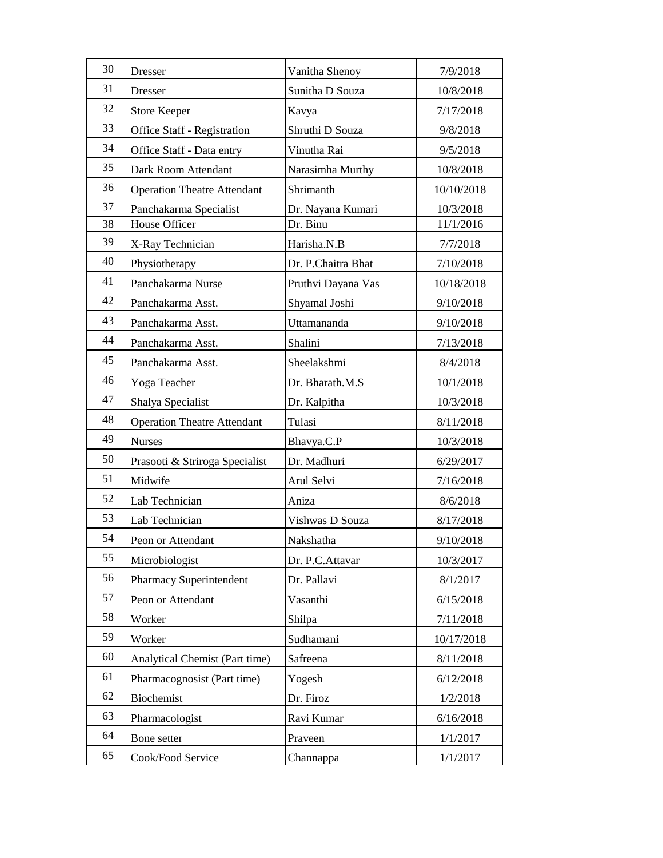| 30 |                                    |                    |            |
|----|------------------------------------|--------------------|------------|
| 31 | Dresser                            | Vanitha Shenoy     | 7/9/2018   |
| 32 | <b>Dresser</b>                     | Sunitha D Souza    | 10/8/2018  |
|    | <b>Store Keeper</b>                | Kavya              | 7/17/2018  |
| 33 | Office Staff - Registration        | Shruthi D Souza    | 9/8/2018   |
| 34 | Office Staff - Data entry          | Vinutha Rai        | 9/5/2018   |
| 35 | Dark Room Attendant                | Narasimha Murthy   | 10/8/2018  |
| 36 | <b>Operation Theatre Attendant</b> | Shrimanth          | 10/10/2018 |
| 37 | Panchakarma Specialist             | Dr. Nayana Kumari  | 10/3/2018  |
| 38 | House Officer                      | Dr. Binu           | 11/1/2016  |
| 39 | X-Ray Technician                   | Harisha.N.B        | 7/7/2018   |
| 40 | Physiotherapy                      | Dr. P.Chaitra Bhat | 7/10/2018  |
| 41 | Panchakarma Nurse                  | Pruthvi Dayana Vas | 10/18/2018 |
| 42 | Panchakarma Asst.                  | Shyamal Joshi      | 9/10/2018  |
| 43 | Panchakarma Asst.                  | Uttamananda        | 9/10/2018  |
| 44 | Panchakarma Asst.                  | Shalini            | 7/13/2018  |
| 45 | Panchakarma Asst.                  | Sheelakshmi        | 8/4/2018   |
| 46 | Yoga Teacher                       | Dr. Bharath.M.S    | 10/1/2018  |
| 47 | Shalya Specialist                  | Dr. Kalpitha       | 10/3/2018  |
| 48 | <b>Operation Theatre Attendant</b> | Tulasi             | 8/11/2018  |
| 49 | <b>Nurses</b>                      | Bhavya.C.P         | 10/3/2018  |
| 50 | Prasooti & Striroga Specialist     | Dr. Madhuri        | 6/29/2017  |
| 51 | Midwife                            | Arul Selvi         | 7/16/2018  |
| 52 | Lab Technician                     | Aniza              | 8/6/2018   |
| 53 | Lab Technician                     | Vishwas D Souza    | 8/17/2018  |
| 54 | Peon or Attendant                  | Nakshatha          | 9/10/2018  |
| 55 | Microbiologist                     | Dr. P.C.Attavar    | 10/3/2017  |
| 56 | <b>Pharmacy Superintendent</b>     | Dr. Pallavi        | 8/1/2017   |
| 57 | Peon or Attendant                  | Vasanthi           | 6/15/2018  |
| 58 | Worker                             | Shilpa             | 7/11/2018  |
| 59 | Worker                             | Sudhamani          | 10/17/2018 |
| 60 | Analytical Chemist (Part time)     | Safreena           | 8/11/2018  |
| 61 | Pharmacognosist (Part time)        | Yogesh             | 6/12/2018  |
| 62 | Biochemist                         | Dr. Firoz          | 1/2/2018   |
| 63 | Pharmacologist                     | Ravi Kumar         | 6/16/2018  |
| 64 | Bone setter                        | Praveen            | 1/1/2017   |
| 65 | Cook/Food Service                  | Channappa          | 1/1/2017   |